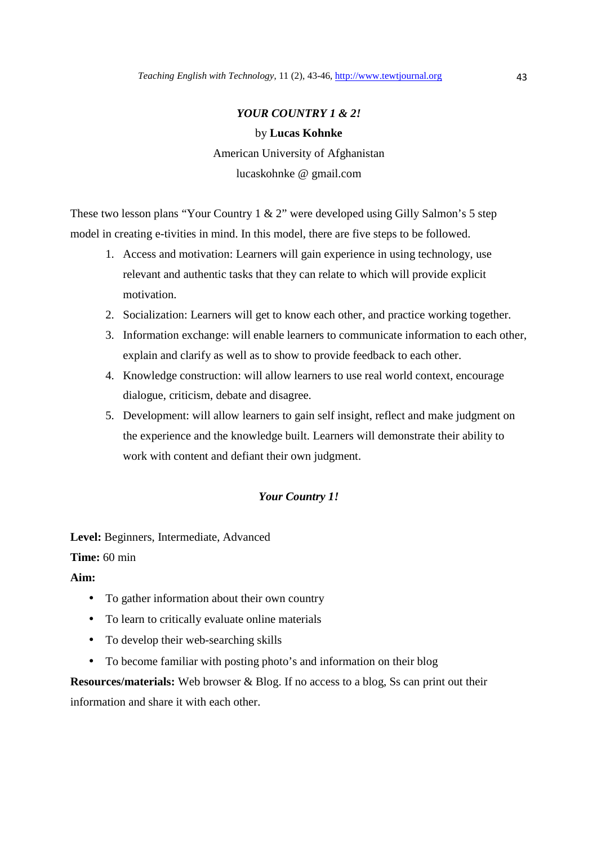#### *YOUR COUNTRY 1 & 2!*

#### by **Lucas Kohnke**

American University of Afghanistan lucaskohnke @ gmail.com

These two lesson plans "Your Country 1 & 2" were developed using Gilly Salmon's 5 step model in creating e-tivities in mind. In this model, there are five steps to be followed.

- 1. Access and motivation: Learners will gain experience in using technology, use relevant and authentic tasks that they can relate to which will provide explicit motivation.
- 2. Socialization: Learners will get to know each other, and practice working together.
- 3. Information exchange: will enable learners to communicate information to each other, explain and clarify as well as to show to provide feedback to each other.
- 4. Knowledge construction: will allow learners to use real world context, encourage dialogue, criticism, debate and disagree.
- 5. Development: will allow learners to gain self insight, reflect and make judgment on the experience and the knowledge built. Learners will demonstrate their ability to work with content and defiant their own judgment.

### *Your Country 1!*

**Level:** Beginners, Intermediate, Advanced **Time:** 60 min

**Aim:**

- To gather information about their own country
- To learn to critically evaluate online materials
- To develop their web-searching skills
- To become familiar with posting photo's and information on their blog

**Resources/materials:** Web browser & Blog. If no access to a blog, Ss can print out their information and share it with each other.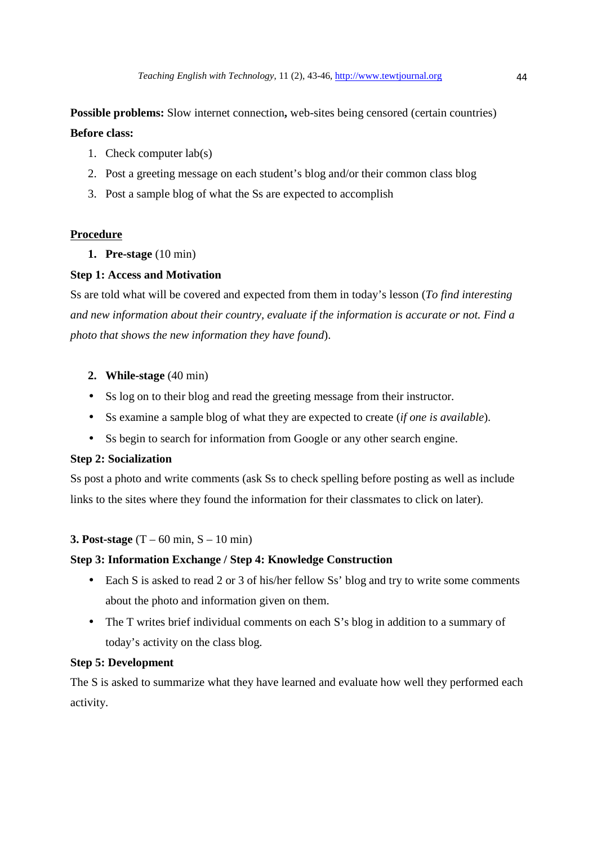**Possible problems:** Slow internet connection, web-sites being censored (certain countries) **Before class:** 

- 1. Check computer lab(s)
- 2. Post a greeting message on each student's blog and/or their common class blog
- 3. Post a sample blog of what the Ss are expected to accomplish

### **Procedure**

**1. Pre-stage** (10 min)

### **Step 1: Access and Motivation**

Ss are told what will be covered and expected from them in today's lesson (*To find interesting and new information about their country, evaluate if the information is accurate or not. Find a photo that shows the new information they have found*).

- **2. While-stage** (40 min)
- Ss log on to their blog and read the greeting message from their instructor.
- Ss examine a sample blog of what they are expected to create (*if one is available*).
- Ss begin to search for information from Google or any other search engine.

### **Step 2: Socialization**

Ss post a photo and write comments (ask Ss to check spelling before posting as well as include links to the sites where they found the information for their classmates to click on later).

### **3. Post-stage** (T – 60 min, S – 10 min)

### **Step 3: Information Exchange / Step 4: Knowledge Construction**

- Each S is asked to read 2 or 3 of his/her fellow Ss' blog and try to write some comments about the photo and information given on them.
- The T writes brief individual comments on each S's blog in addition to a summary of today's activity on the class blog.

### **Step 5: Development**

The S is asked to summarize what they have learned and evaluate how well they performed each activity.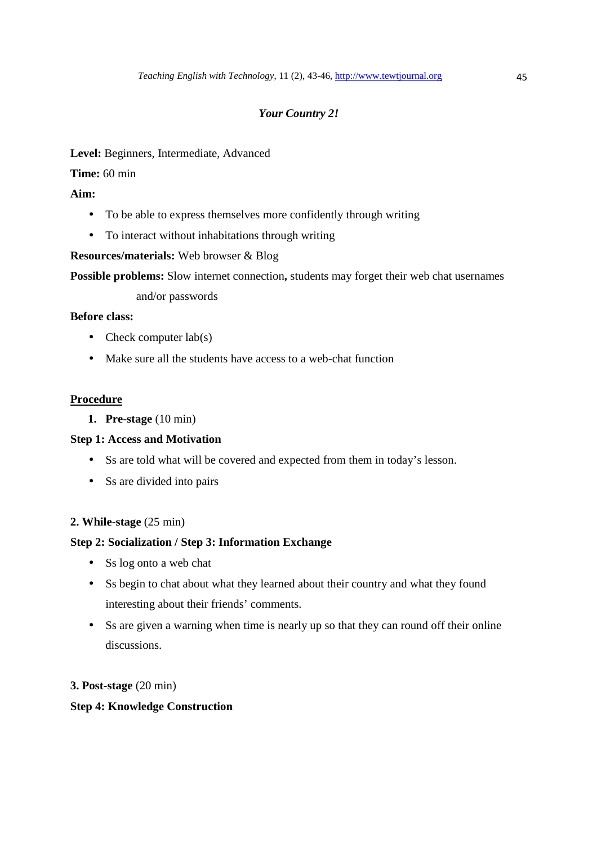# *Your Country 2!*

# **Level:** Beginners, Intermediate, Advanced

**Time:** 60 min

### **Aim:**

- To be able to express themselves more confidently through writing
- To interact without inhabitations through writing

### **Resources/materials:** Web browser & Blog

**Possible problems:** Slow internet connection, students may forget their web chat usernames

### and/or passwords

### **Before class:**

- Check computer  $\text{lab}(s)$
- Make sure all the students have access to a web-chat function

### **Procedure**

**1. Pre-stage** (10 min)

### **Step 1: Access and Motivation**

- Ss are told what will be covered and expected from them in today's lesson.
- Ss are divided into pairs

### **2. While-stage** (25 min)

### **Step 2: Socialization / Step 3: Information Exchange**

- Ss log onto a web chat
- Ss begin to chat about what they learned about their country and what they found interesting about their friends' comments.
- Ss are given a warning when time is nearly up so that they can round off their online discussions.

### **3. Post-stage** (20 min)

### **Step 4: Knowledge Construction**